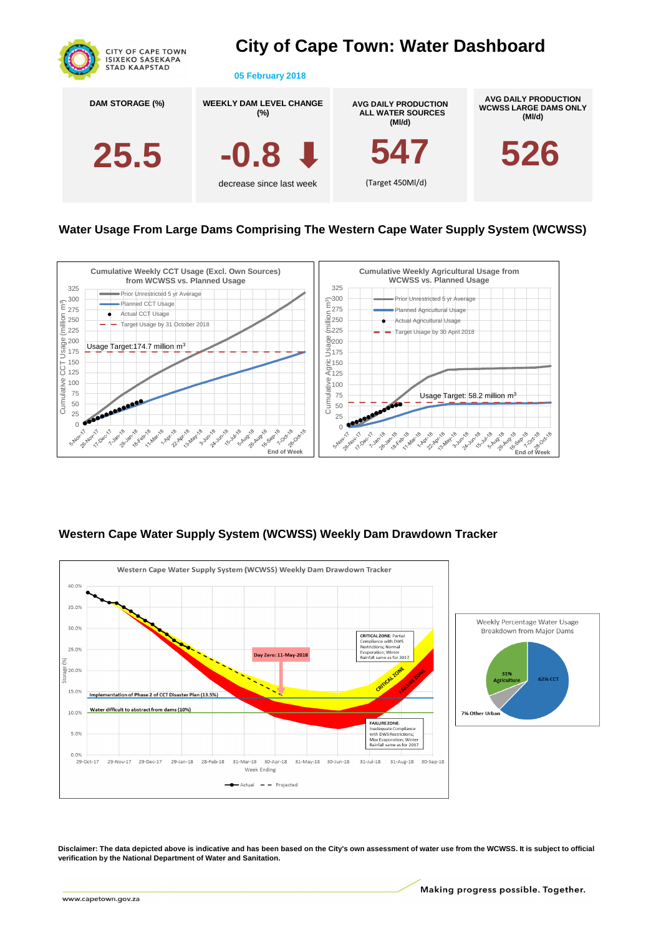

# **City of Cape Town: Water Dashboard**

**05 February 2018**

# **Western Cape Water Supply System (WCWSS) Weekly Dam Drawdown Tracker**



**Water Usage From Large Dams Comprising The Western Cape Water Supply System (WCWSS)**

**Disclaimer: The data depicted above is indicative and has been based on the City's own assessment of water use from the WCWSS. It is subject to official verification by the National Department of Water and Sanitation.**

Making progress possible. Together.

www.capetown.gov.za



| <b>DAM STORAGE (%)</b> | <b>WEEKLY DAM LEVEL CHANGE</b><br>$(\%)$ | <b>AVG DAILY PRODUCTION</b><br><b>ALL WATER SOURCES</b><br>(MI/d) | AVG DAILY PRODUCTION<br><b>WCWSS LARGE DAMS ONLY</b><br>(MI/d) |
|------------------------|------------------------------------------|-------------------------------------------------------------------|----------------------------------------------------------------|
| 25.5                   | $-0.8 \cup$                              | 547                                                               | 526                                                            |
|                        | decrease since last week                 | (Target 450Ml/d)                                                  |                                                                |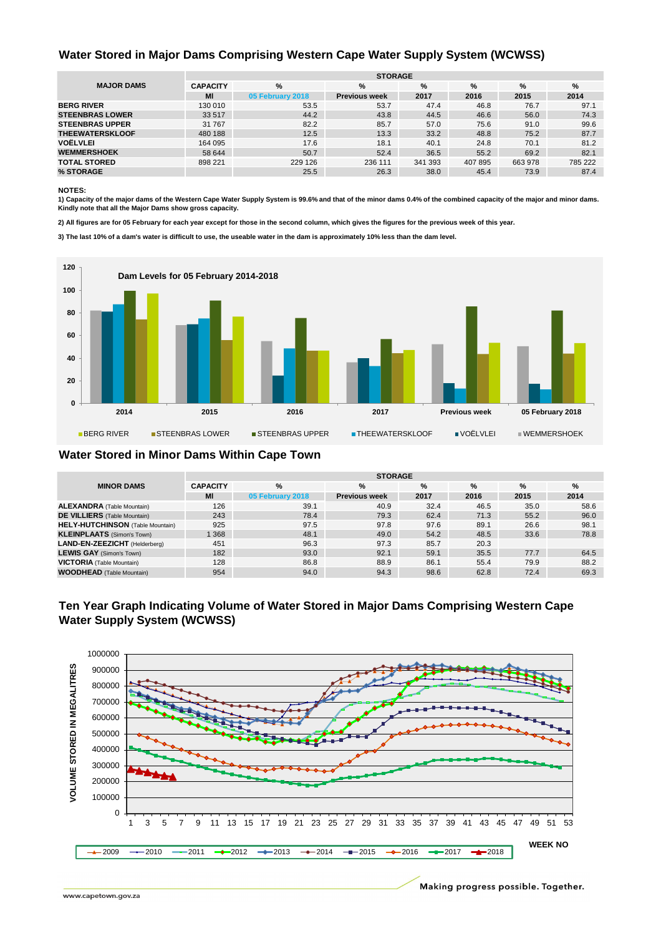#### **NOTES:**

**3) The last 10% of a dam's water is difficult to use, the useable water in the dam is approximately 10% less than the dam level.**

|                        | <b>STORAGE</b>       |                  |                      |         |         |         |         |  |  |
|------------------------|----------------------|------------------|----------------------|---------|---------|---------|---------|--|--|
| <b>MAJOR DAMS</b>      | %<br><b>CAPACITY</b> |                  | %                    | %       | %       | %       | %       |  |  |
|                        | MI                   | 05 February 2018 | <b>Previous week</b> | 2017    | 2016    | 2015    | 2014    |  |  |
| <b>BERG RIVER</b>      | 130 010              | 53.5             | 53.7                 | 47.4    | 46.8    | 76.7    | 97.1    |  |  |
| <b>STEENBRAS LOWER</b> | 33 517               | 44.2             | 43.8                 | 44.5    | 46.6    | 56.0    | 74.3    |  |  |
| <b>STEENBRAS UPPER</b> | 31 767               | 82.2             | 85.7                 | 57.0    | 75.6    | 91.0    | 99.6    |  |  |
| <b>THEEWATERSKLOOF</b> | 480 188              | 12.5             | 13.3                 | 33.2    | 48.8    | 75.2    | 87.7    |  |  |
| <b>VOËLVLEI</b>        | 164 095              | 17.6             | 18.1                 | 40.1    | 24.8    | 70.1    | 81.2    |  |  |
| <b>WEMMERSHOEK</b>     | 58 644               | 50.7             | 52.4                 | 36.5    | 55.2    | 69.2    | 82.1    |  |  |
| <b>TOTAL STORED</b>    | 898 221              | 229 126          | 236 111              | 341 393 | 407 895 | 663 978 | 785 222 |  |  |
| % STORAGE              |                      | 25.5             | 26.3                 | 38.0    | 45.4    | 73.9    | 87.4    |  |  |

|                                         | <b>STORAGE</b>       |                  |                      |      |      |      |      |  |  |
|-----------------------------------------|----------------------|------------------|----------------------|------|------|------|------|--|--|
| <b>MINOR DAMS</b>                       | %<br><b>CAPACITY</b> |                  | %                    | %    | %    | %    | %    |  |  |
|                                         | MI                   | 05 February 2018 | <b>Previous week</b> | 2017 | 2016 | 2015 | 2014 |  |  |
| <b>ALEXANDRA</b> (Table Mountain)       | 126                  | 39.1             | 40.9                 | 32.4 | 46.5 | 35.0 | 58.6 |  |  |
| <b>DE VILLIERS</b> (Table Mountain)     | 243                  | 78.4             | 79.3                 | 62.4 | 71.3 | 55.2 | 96.0 |  |  |
| <b>HELY-HUTCHINSON</b> (Table Mountain) | 925                  | 97.5             | 97.8                 | 97.6 | 89.1 | 26.6 | 98.1 |  |  |
| <b>KLEINPLAATS</b> (Simon's Town)       | 1368                 | 48.1             | 49.0                 | 54.2 | 48.5 | 33.6 | 78.8 |  |  |
| LAND-EN-ZEEZICHT (Helderberg)           | 451                  | 96.3             | 97.3                 | 85.7 | 20.3 |      |      |  |  |
| <b>LEWIS GAY</b> (Simon's Town)         | 182                  | 93.0             | 92.1                 | 59.1 | 35.5 | 77.7 | 64.5 |  |  |
| <b>VICTORIA</b> (Table Mountain)        | 128                  | 86.8             | 88.9                 | 86.1 | 55.4 | 79.9 | 88.2 |  |  |
| <b>WOODHEAD</b> (Table Mountain)        | 954                  | 94.0             | 94.3                 | 98.6 | 62.8 | 72.4 | 69.3 |  |  |

**1) Capacity of the major dams of the Western Cape Water Supply System is 99.6% and that of the minor dams 0.4% of the combined capacity of the major and minor dams. Kindly note that all the Major Dams show gross capacity.**

**2) All figures are for 05 February for each year except for those in the second column, which gives the figures for the previous week of this year.**

#### **Water Stored in Minor Dams Within Cape Town**

## **Ten Year Graph Indicating Volume of Water Stored in Major Dams Comprising Western Cape Water Supply System (WCWSS)**

#### **Water Stored in Major Dams Comprising Western Cape Water Supply System (WCWSS)**



1000000